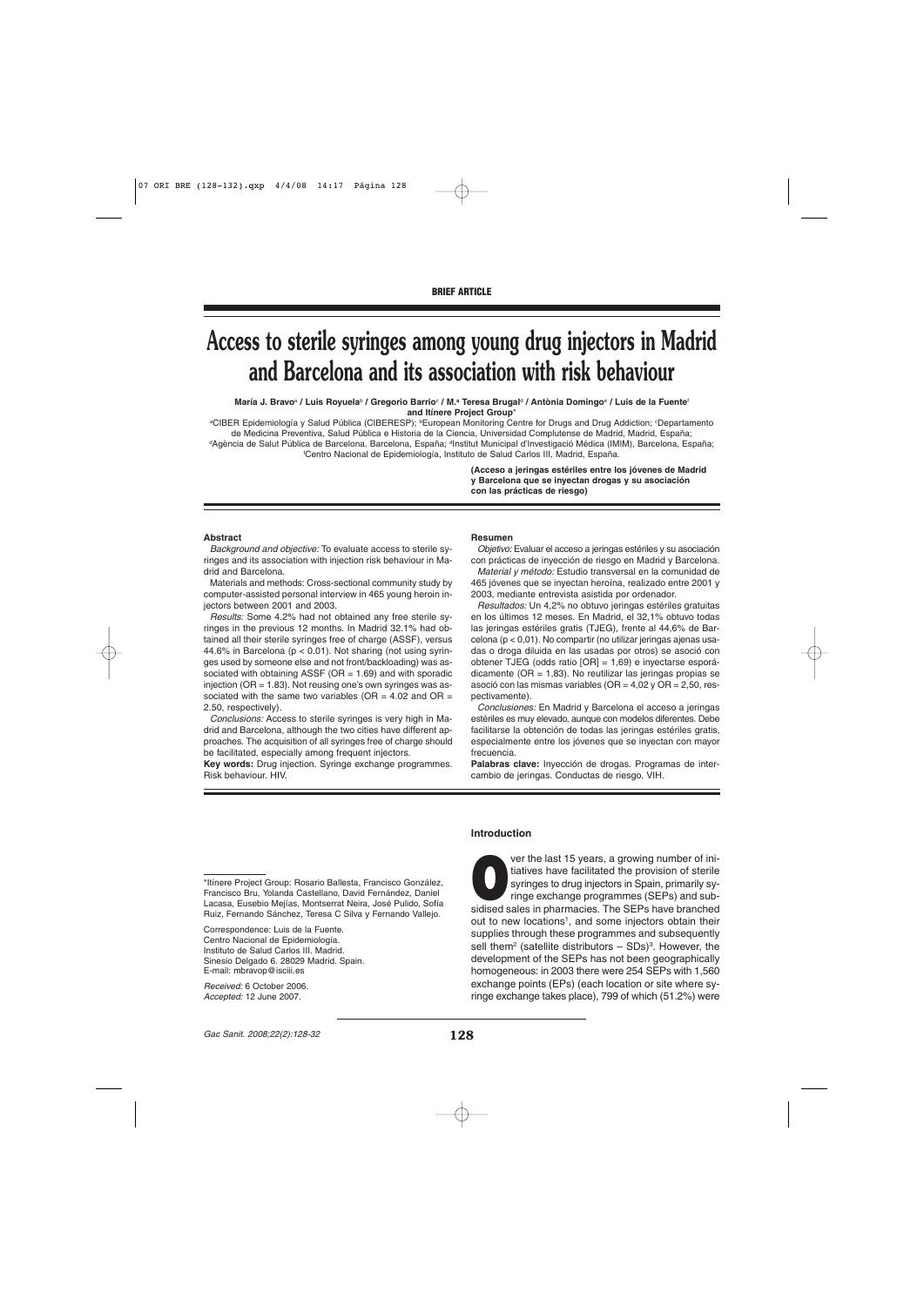# **Access to sterile syringes among young drug injectors in Madrid and Barcelona and its association with risk behaviour**

**María J. Bravo**<sup>a</sup> **/ Luis Royuela**<sup>b</sup> **/ Gregorio Barrio**<sup>c</sup> **/ M.a Teresa Brugal**<sup>d</sup> **/ Antònia Domingo**<sup>e</sup> **/ Luis de la Fuente**<sup>f</sup> **and Itínere Project Group**\*

ªCIBER Epidemiología y Salud Pública (CIBERESP); <sup>b</sup>European Monitoring Centre for Drugs and Drug Addiction; °Departamento de Medicina Preventiva, Salud Pública e Historia de la Ciencia, Universidad Complutense de Madrid, Madrid, España;<br>dagència de Salut Pública de Barcelona, Barcelona, España; <sup>d</sup>Institut Municipal d'Investigació Médica (IMI f Centro Nacional de Epidemiología, Instituto de Salud Carlos III, Madrid, España.

> **(Acceso a jeringas estériles entre los jóvenes de Madrid y Barcelona que se inyectan drogas y su asociación con las prácticas de riesgo)**

#### **Abstract**

Background and objective: To evaluate access to sterile syringes and its association with injection risk behaviour in Madrid and Barcelona.

Materials and methods: Cross-sectional community study by computer-assisted personal interview in 465 young heroin injectors between 2001 and 2003.

Results: Some 4.2% had not obtained any free sterile syringes in the previous 12 months. In Madrid 32.1% had obtained all their sterile syringes free of charge (ASSF), versus 44.6% in Barcelona (p < 0.01). Not sharing (not using syringes used by someone else and not front/backloading) was associated with obtaining ASSF ( $OR = 1.69$ ) and with sporadic injection (OR = 1.83). Not reusing one's own syringes was associated with the same two variables (OR =  $4.02$  and OR = 2.50, respectively).

Conclusions: Access to sterile syringes is very high in Madrid and Barcelona, although the two cities have different approaches. The acquisition of all syringes free of charge should be facilitated, especially among frequent injectors.

**Key words:** Drug injection. Syringe exchange programmes. Risk behaviour. HIV.

#### **Resumen**

Objetivo: Evaluar el acceso a jeringas estériles y su asociación con prácticas de inyección de riesgo en Madrid y Barcelona.

Material y método: Estudio transversal en la comunidad de 465 jóvenes que se inyectan heroína, realizado entre 2001 y 2003, mediante entrevista asistida por ordenador.

Resultados: Un 4,2% no obtuvo jeringas estériles gratuitas en los últimos 12 meses. En Madrid, el 32,1% obtuvo todas las jeringas estériles gratis (TJEG), frente al 44,6% de Barcelona (p < 0,01). No compartir (no utilizar jeringas ajenas usadas o droga diluida en las usadas por otros) se asoció con obtener TJEG (odds ratio [OR] = 1,69) e inyectarse esporádicamente ( $OR = 1,83$ ). No reutilizar las jeringas propias se asoció con las mismas variables (OR =  $4,02$  y OR =  $2,50$ , respectivamente).

Conclusiones: En Madrid y Barcelona el acceso a jeringas estériles es muy elevado, aunque con modelos diferentes. Debe facilitarse la obtención de todas las jeringas estériles gratis, especialmente entre los jóvenes que se inyectan con mayor frecuencia.

**Palabras clave:** Inyección de drogas. Programas de intercambio de jeringas. Conductas de riesgo. VIH.

Correspondence: Luis de la Fuente. Centro Nacional de Epidemiología. Instituto de Salud Carlos III. Madrid. Sinesio Delgado 6. 28029 Madrid. Spain. E-mail: mbravop@isciii.es

Received: 6 October 2006. Accepted: 12 June 2007.

## **Introduction**

ver the last 15 years, a growing number of initiatives have facilitated the provision of sterile syringes to drug injectors in Spain, primarily syringe exchange programmes (SEPs) and subsidised sales in pharmacies. The SEP tiatives have facilitated the provision of sterile syringes to drug injectors in Spain, primarily syringe exchange programmes (SEPs) and subsidised sales in pharmacies. The SEPs have branched out to new locations<sup>1</sup>, and some injectors obtain their supplies through these programmes and subsequently sell them<sup>2</sup> (satellite distributors  $-$  SDs)<sup>3</sup>. However, the development of the SEPs has not been geographically homogeneous: in 2003 there were 254 SEPs with 1,560 exchange points (EPs) (each location or site where syringe exchange takes place), 799 of which (51.2%) were

<sup>\*</sup>Itínere Project Group: Rosario Ballesta, Francisco González, Francisco Bru, Yolanda Castellano, David Fernández, Daniel Lacasa, Eusebio Mejías, Montserrat Neira, José Pulido, Sofía Ruiz, Fernando Sánchez, Teresa C Silva y Fernando Vallejo.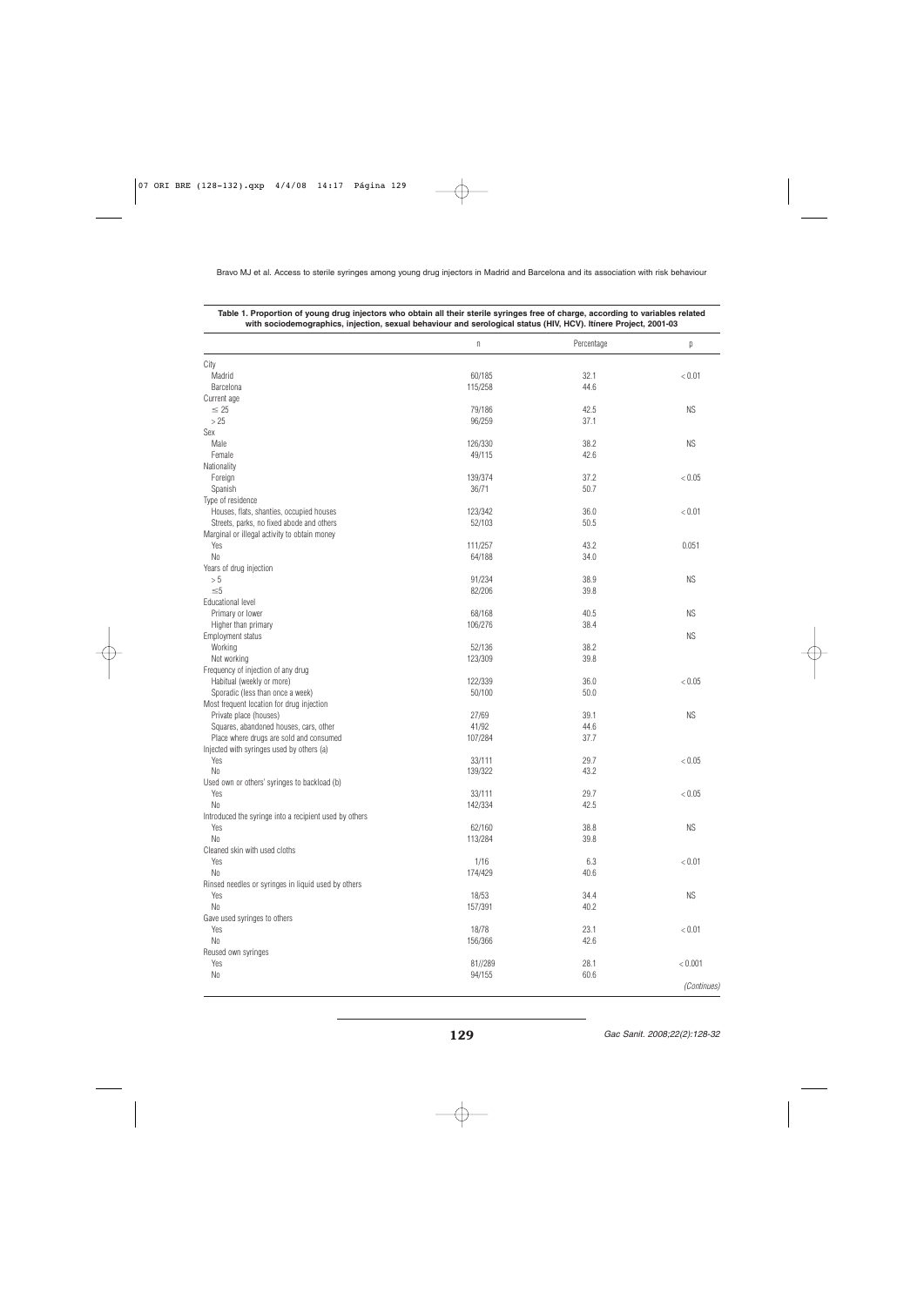|                                                        | n                 | Percentage   | р           |
|--------------------------------------------------------|-------------------|--------------|-------------|
| City                                                   |                   |              |             |
| Madrid                                                 | 60/185            | 32.1         | < 0.01      |
| Barcelona                                              | 115/258           | 44.6         |             |
| Current age                                            |                   |              |             |
| $\leq 25$                                              | 79/186            | 42.5         | <b>NS</b>   |
| >25                                                    | 96/259            | 37.1         |             |
| Sex                                                    |                   |              |             |
| Male                                                   | 126/330           | 38.2         | <b>NS</b>   |
| Female                                                 | 49/115            | 42.6         |             |
| Nationality                                            |                   |              |             |
| Foreign                                                | 139/374           | 37.2         | < 0.05      |
| Spanish                                                | 36/71             | 50.7         |             |
| Type of residence                                      |                   |              |             |
| Houses, flats, shanties, occupied houses               | 123/342           | 36.0         | < 0.01      |
| Streets, parks, no fixed abode and others              | 52/103            | 50.5         |             |
| Marginal or illegal activity to obtain money           |                   |              |             |
| Yes                                                    | 111/257           | 43.2         | 0.051       |
| No                                                     | 64/188            | 34.0         |             |
| Years of drug injection                                |                   |              |             |
| > 5                                                    | 91/234            | 38.9         | <b>NS</b>   |
| $\leq 5$                                               | 82/206            | 39.8         |             |
| Educational level                                      |                   |              |             |
| Primary or lower                                       | 68/168<br>106/276 | 40.5<br>38.4 | <b>NS</b>   |
| Higher than primary<br>Employment status               |                   |              | <b>NS</b>   |
| Working                                                | 52/136            | 38.2         |             |
| Not working                                            | 123/309           | 39.8         |             |
| Frequency of injection of any drug                     |                   |              |             |
| Habitual (weekly or more)                              | 122/339           | 36.0         | < 0.05      |
| Sporadic (less than once a week)                       | 50/100            | 50.0         |             |
| Most frequent location for drug injection              |                   |              |             |
| Private place (houses)                                 | 27/69             | 39.1         | <b>NS</b>   |
| Squares, abandoned houses, cars, other                 | 41/92             | 44.6         |             |
| Place where drugs are sold and consumed                | 107/284           | 37.7         |             |
| Injected with syringes used by others (a)              |                   |              |             |
| Yes                                                    | 33/111            | 29.7         | < 0.05      |
| N <sub>0</sub>                                         | 139/322           | 43.2         |             |
| Used own or others' syringes to backload (b)           |                   |              |             |
| Yes                                                    | 33/111            | 29.7         | < 0.05      |
| N <sub>0</sub>                                         | 142/334           | 42.5         |             |
| Introduced the syringe into a recipient used by others |                   |              |             |
| Yes                                                    | 62/160            | 38.8         | <b>NS</b>   |
| No                                                     | 113/284           | 39.8         |             |
| Cleaned skin with used cloths                          |                   |              |             |
| Yes                                                    | 1/16              | 6.3          | $< 0.01$    |
| No                                                     | 174/429           | 40.6         |             |
| Rinsed needles or syringes in liquid used by others    |                   |              |             |
| Yes                                                    | 18/53             | 34.4         | <b>NS</b>   |
| $\rm No$                                               | 157/391           | 40.2         |             |
| Gave used syringes to others                           |                   |              |             |
| Yes                                                    | 18/78             | 23.1         | < 0.01      |
| No                                                     | 156/366           | 42.6         |             |
| Reused own syringes                                    |                   |              |             |
| Yes                                                    | 81//289           | 28.1         | < 0.001     |
| $\rm No$                                               | 94/155            | 60.6         |             |
|                                                        |                   |              | (Continues) |

**Table 1. Proportion of young drug injectors who obtain all their sterile syringes free of charge, according to variables related with sociodemographics, injection, sexual behaviour and serological status (HIV, HCV). Itínere Project, 2001-03**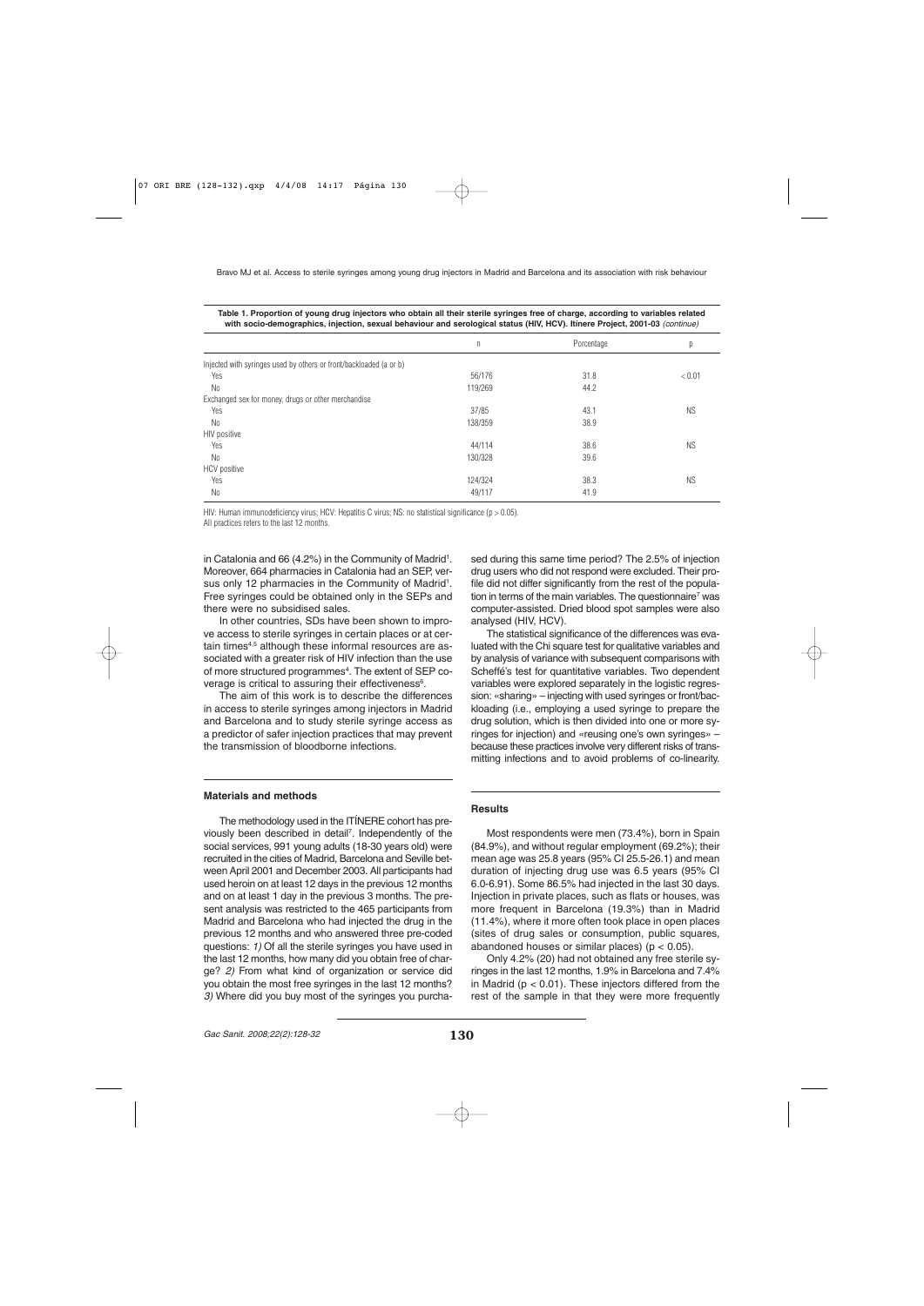|                                                                    | n       | Porcentage | p         |
|--------------------------------------------------------------------|---------|------------|-----------|
| Injected with syringes used by others or front/backloaded (a or b) |         |            |           |
| Yes                                                                | 56/176  | 31.8       | < 0.01    |
| N <sub>0</sub>                                                     | 119/269 | 44.2       |           |
| Exchanged sex for money, drugs or other merchandise                |         |            |           |
| Yes                                                                | 37/85   | 43.1       | <b>NS</b> |
| N <sub>0</sub>                                                     | 138/359 | 38.9       |           |
| HIV positive                                                       |         |            |           |
| Yes                                                                | 44/114  | 38.6       | <b>NS</b> |
| N <sub>0</sub>                                                     | 130/328 | 39.6       |           |
| <b>HCV</b> positive                                                |         |            |           |
| Yes                                                                | 124/324 | 38.3       | <b>NS</b> |
| N <sub>0</sub>                                                     | 49/117  | 41.9       |           |
|                                                                    |         |            |           |

**Table 1. Proportion of young drug injectors who obtain all their sterile syringes free of charge, according to variables related with socio-demographics, injection, sexual behaviour and serological status (HIV, HCV). Itínere Project, 2001-03** (continue)

HIV: Human immunodeficiency virus; HCV: Hepatitis C virus; NS: no statistical significance (p > 0.05). All practices refers to the last 12 months.

in Catalonia and 66 (4.2%) in the Community of Madrid<sup>1</sup>. Moreover, 664 pharmacies in Catalonia had an SEP, versus only 12 pharmacies in the Community of Madrid<sup>1</sup>. Free syringes could be obtained only in the SEPs and there were no subsidised sales.

In other countries, SDs have been shown to improve access to sterile syringes in certain places or at certain times<sup>4,5</sup> although these informal resources are associated with a greater risk of HIV infection than the use of more structured programmes<sup>4</sup>. The extent of SEP coverage is critical to assuring their effectiveness<sup>6</sup>.

The aim of this work is to describe the differences in access to sterile syringes among injectors in Madrid and Barcelona and to study sterile syringe access as a predictor of safer injection practices that may prevent the transmission of bloodborne infections.

## **Materials and methods**

The methodology used in the ITÍNERE cohort has previously been described in detail<sup>7</sup>. Independently of the social services, 991 young adults (18-30 years old) were recruited in the cities of Madrid, Barcelona and Seville between April 2001 and December 2003. All participants had used heroin on at least 12 days in the previous 12 months and on at least 1 day in the previous 3 months. The present analysis was restricted to the 465 participants from Madrid and Barcelona who had injected the drug in the previous 12 months and who answered three pre-coded questions: 1) Of all the sterile syringes you have used in the last 12 months, how many did you obtain free of charge? 2) From what kind of organization or service did you obtain the most free syringes in the last 12 months? 3) Where did you buy most of the syringes you purchased during this same time period? The 2.5% of injection drug users who did not respond were excluded. Their profile did not differ significantly from the rest of the population in terms of the main variables. The questionnaire<sup>7</sup> was computer-assisted. Dried blood spot samples were also analysed (HIV, HCV).

The statistical significance of the differences was evaluated with the Chi square test for qualitative variables and by analysis of variance with subsequent comparisons with Scheffé's test for quantitative variables. Two dependent variables were explored separately in the logistic regression: «sharing» – injecting with used syringes or front/backloading (i.e., employing a used syringe to prepare the drug solution, which is then divided into one or more syringes for injection) and «reusing one's own syringes» – because these practices involve very different risks of transmitting infections and to avoid problems of co-linearity.

## **Results**

Most respondents were men (73.4%), born in Spain (84.9%), and without regular employment (69.2%); their mean age was 25.8 years (95% CI 25.5-26.1) and mean duration of injecting drug use was 6.5 years (95% CI 6.0-6.91). Some 86.5% had injected in the last 30 days. Injection in private places, such as flats or houses, was more frequent in Barcelona (19.3%) than in Madrid (11.4%), where it more often took place in open places (sites of drug sales or consumption, public squares, abandoned houses or similar places) ( $p < 0.05$ ).

Only 4.2% (20) had not obtained any free sterile syringes in the last 12 months, 1.9% in Barcelona and 7.4% in Madrid ( $p < 0.01$ ). These injectors differed from the rest of the sample in that they were more frequently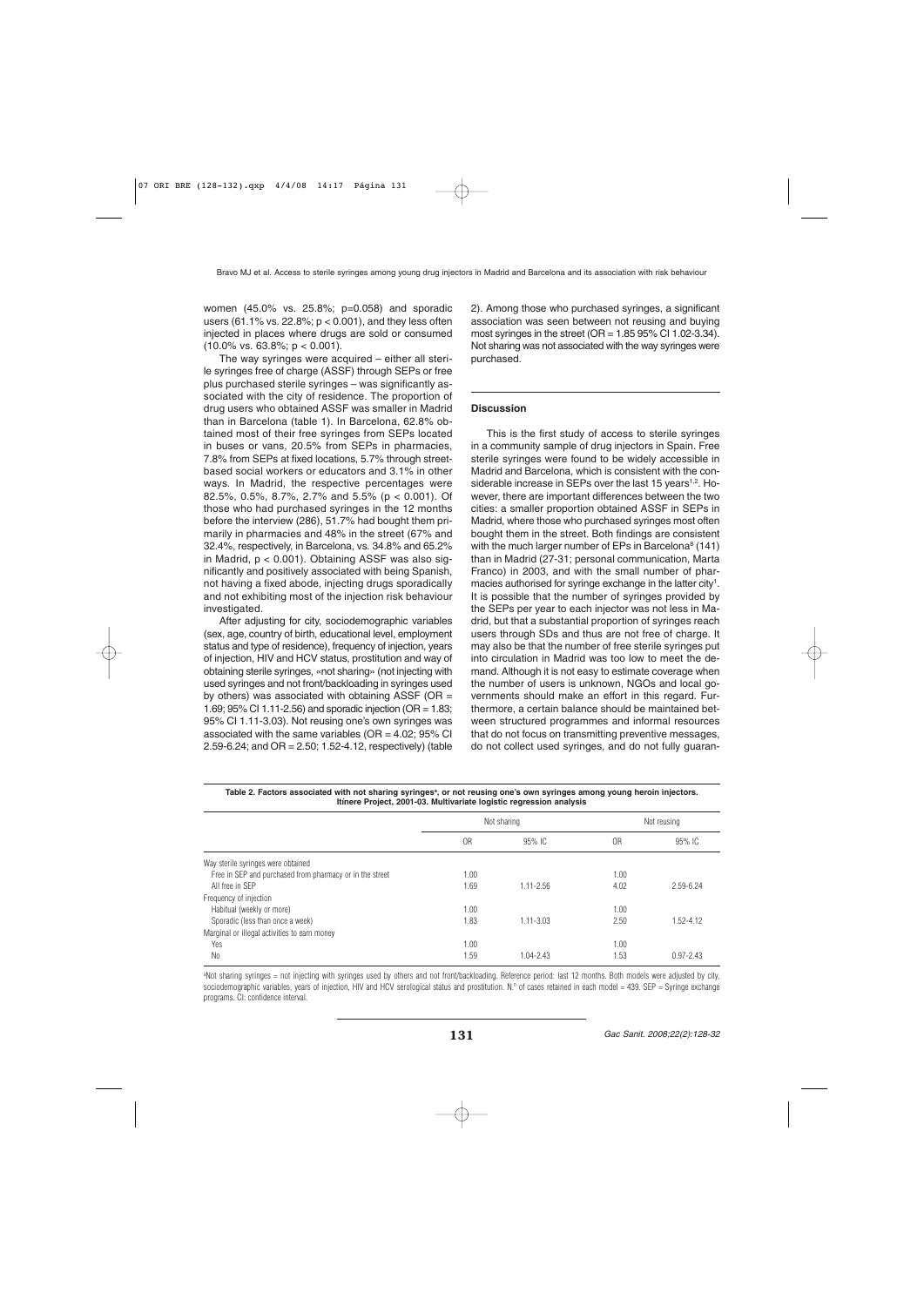women (45.0% vs. 25.8%; p=0.058) and sporadic users (61.1% vs. 22.8%;  $p < 0.001$ ), and they less often injected in places where drugs are sold or consumed  $(10.0\% \text{ vs. } 63.8\%; \text{ p} < 0.001).$ 

The way syringes were acquired – either all sterile syringes free of charge (ASSF) through SEPs or free plus purchased sterile syringes – was significantly associated with the city of residence. The proportion of drug users who obtained ASSF was smaller in Madrid than in Barcelona (table 1). In Barcelona, 62.8% obtained most of their free syringes from SEPs located in buses or vans, 20.5% from SEPs in pharmacies, 7.8% from SEPs at fixed locations, 5.7% through streetbased social workers or educators and 3.1% in other ways. In Madrid, the respective percentages were 82.5%, 0.5%, 8.7%, 2.7% and 5.5% (p < 0.001). Of those who had purchased syringes in the 12 months before the interview (286), 51.7% had bought them primarily in pharmacies and 48% in the street (67% and 32.4%, respectively, in Barcelona, vs. 34.8% and 65.2% in Madrid, p < 0.001). Obtaining ASSF was also significantly and positively associated with being Spanish, not having a fixed abode, injecting drugs sporadically and not exhibiting most of the injection risk behaviour investigated.

After adjusting for city, sociodemographic variables (sex, age, country of birth, educational level, employment status and type of residence), frequency of injection, years of injection, HIV and HCV status, prostitution and way of obtaining sterile syringes, «not sharing» (not injecting with used syringes and not front/backloading in syringes used by others) was associated with obtaining ASSF ( $OR =$ 1.69; 95% CI 1.11-2.56) and sporadic injection (OR = 1.83; 95% CI 1.11-3.03). Not reusing one's own syringes was associated with the same variables ( $OR = 4.02$ ;  $95\%$  CI 2.59-6.24; and OR = 2.50; 1.52-4.12, respectively) (table

2). Among those who purchased syringes, a significant association was seen between not reusing and buying most syringes in the street (OR =  $1.8595\%$  CI 1.02-3.34). Not sharing was not associated with the way syringes were purchased.

## **Discussion**

This is the first study of access to sterile syringes in a community sample of drug injectors in Spain. Free sterile syringes were found to be widely accessible in Madrid and Barcelona, which is consistent with the considerable increase in SEPs over the last 15 years<sup>1,2</sup>. However, there are important differences between the two cities: a smaller proportion obtained ASSF in SEPs in Madrid, where those who purchased syringes most often bought them in the street. Both findings are consistent with the much larger number of EPs in Barcelona<sup>8</sup> (141) than in Madrid (27-31; personal communication, Marta Franco) in 2003, and with the small number of pharmacies authorised for syringe exchange in the latter city<sup>1</sup>. It is possible that the number of syringes provided by the SEPs per year to each injector was not less in Madrid, but that a substantial proportion of syringes reach users through SDs and thus are not free of charge. It may also be that the number of free sterile syringes put into circulation in Madrid was too low to meet the demand. Although it is not easy to estimate coverage when the number of users is unknown, NGOs and local governments should make an effort in this regard. Furthermore, a certain balance should be maintained between structured programmes and informal resources that do not focus on transmitting preventive messages, do not collect used syringes, and do not fully guaran-

Table 2. Factors associated with not sharing syringes<sup>a</sup>, or not reusing one's own syringes among young heroin injectors. **Itínere Project, 2001-03. Multivariate logistic regression analysis**

|                                                          | Not sharing |               |      | Not reusing   |  |
|----------------------------------------------------------|-------------|---------------|------|---------------|--|
|                                                          | 0R          | 95% IC        | 0R   | 95% IC        |  |
| Way sterile syringes were obtained                       |             |               |      |               |  |
| Free in SEP and purchased from pharmacy or in the street | 1.00        |               | 1.00 |               |  |
| All free in SEP                                          | 1.69        | $1.11 - 2.56$ | 4.02 | 2.59-6.24     |  |
| Frequency of injection                                   |             |               |      |               |  |
| Habitual (weekly or more)                                | 1.00        |               | 1.00 |               |  |
| Sporadic (less than once a week)                         | 1.83        | $1.11 - 3.03$ | 2.50 | $1.52 - 4.12$ |  |
| Marginal or illegal activities to earn money             |             |               |      |               |  |
| Yes                                                      | 1.00        |               | 1.00 |               |  |
| N <sub>0</sub>                                           | 1.59        | $1.04 - 2.43$ | .53  | $0.97 - 2.43$ |  |

a Not sharing syringes = not injecting with syringes used by others and not front/backloading. Reference period: last 12 months. Both models were adjusted by city, sociodemographic variables, years of injection, HIV and HCV serological status and prostitution. N.º of cases retained in each model = 439. SEP = Syringe exchange programs. CI: confidence interval.